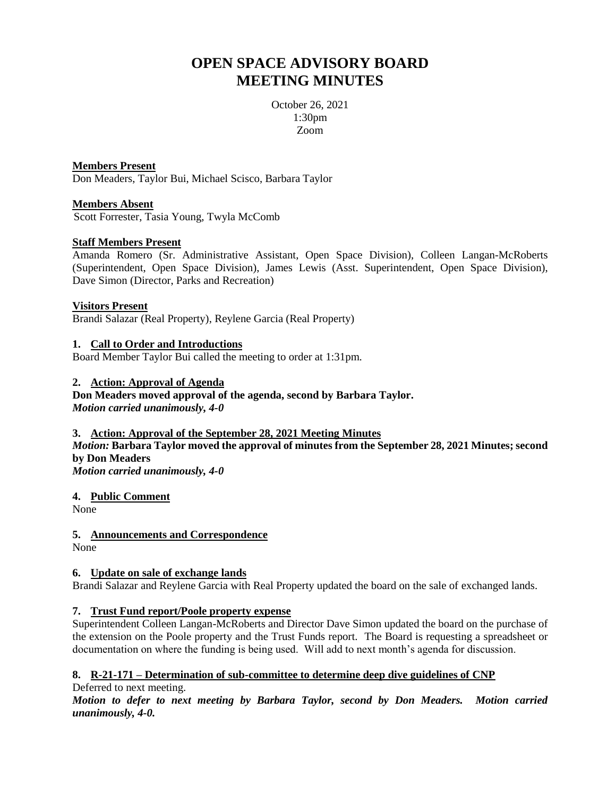# **OPEN SPACE ADVISORY BOARD MEETING MINUTES**

October 26, 2021 1:30pm Zoom

**Members Present** Don Meaders, Taylor Bui, Michael Scisco, Barbara Taylor

# **Members Absent**

Scott Forrester, Tasia Young, Twyla McComb

## **Staff Members Present**

Amanda Romero (Sr. Administrative Assistant, Open Space Division), Colleen Langan-McRoberts (Superintendent, Open Space Division), James Lewis (Asst. Superintendent, Open Space Division), Dave Simon (Director, Parks and Recreation)

## **Visitors Present**

Brandi Salazar (Real Property), Reylene Garcia (Real Property)

## **1. Call to Order and Introductions**

Board Member Taylor Bui called the meeting to order at 1:31pm.

## **2. Action: Approval of Agenda**

**Don Meaders moved approval of the agenda, second by Barbara Taylor.** *Motion carried unanimously, 4-0*

## **3. Action: Approval of the September 28, 2021 Meeting Minutes**

*Motion:* **Barbara Taylor moved the approval of minutes from the September 28, 2021 Minutes; second by Don Meaders**

*Motion carried unanimously, 4-0*

**4. Public Comment**

None

# **5. Announcements and Correspondence**

None

# **6. Update on sale of exchange lands**

Brandi Salazar and Reylene Garcia with Real Property updated the board on the sale of exchanged lands.

# **7. Trust Fund report/Poole property expense**

Superintendent Colleen Langan-McRoberts and Director Dave Simon updated the board on the purchase of the extension on the Poole property and the Trust Funds report. The Board is requesting a spreadsheet or documentation on where the funding is being used. Will add to next month's agenda for discussion.

# **8. R-21-171 – Determination of sub-committee to determine deep dive guidelines of CNP**

Deferred to next meeting.

*Motion to defer to next meeting by Barbara Taylor, second by Don Meaders. Motion carried unanimously, 4-0.*